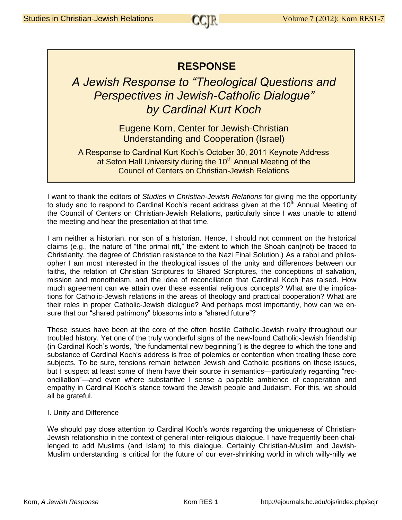## **RESPONSE**

## *A Jewish Response to "Theological Questions and Perspectives in Jewish-Catholic Dialogue" by Cardinal Kurt Koch*

Eugene Korn, Center for Jewish-Christian Understanding and Cooperation (Israel)

A Response to Cardinal Kurt Koch's October 30, 2011 Keynote Address at Seton Hall University during the 10<sup>th</sup> Annual Meeting of the Council of Centers on Christian-Jewish Relations

I want to thank the editors of *Studies in Christian-Jewish Relations* for giving me the opportunity to study and to respond to Cardinal Koch's recent address given at the 10<sup>th</sup> Annual Meeting of the Council of Centers on Christian-Jewish Relations, particularly since I was unable to attend the meeting and hear the presentation at that time.

I am neither a historian, nor son of a historian. Hence, I should not comment on the historical claims (e.g., the nature of "the primal rift," the extent to which the Shoah can(not) be traced to Christianity, the degree of Christian resistance to the Nazi Final Solution.) As a rabbi and philosopher I am most interested in the theological issues of the unity and differences between our faiths, the relation of Christian Scriptures to Shared Scriptures, the conceptions of salvation, mission and monotheism, and the idea of reconciliation that Cardinal Koch has raised. How much agreement can we attain over these essential religious concepts? What are the implications for Catholic-Jewish relations in the areas of theology and practical cooperation? What are their roles in proper Catholic-Jewish dialogue? And perhaps most importantly, how can we ensure that our "shared patrimony" blossoms into a "shared future"?

These issues have been at the core of the often hostile Catholic-Jewish rivalry throughout our troubled history. Yet one of the truly wonderful signs of the new-found Catholic-Jewish friendship (in Cardinal Koch's words, "the fundamental new beginning") is the degree to which the tone and substance of Cardinal Koch's address is free of polemics or contention when treating these core subjects. To be sure, tensions remain between Jewish and Catholic positions on these issues, but I suspect at least some of them have their source in semantics—particularly regarding "reconciliation"—and even where substantive I sense a palpable ambience of cooperation and empathy in Cardinal Koch's stance toward the Jewish people and Judaism. For this, we should all be grateful.

## I. Unity and Difference

We should pay close attention to Cardinal Koch's words regarding the uniqueness of Christian-Jewish relationship in the context of general inter-religious dialogue. I have frequently been challenged to add Muslims (and Islam) to this dialogue. Certainly Christian-Muslim and Jewish-Muslim understanding is critical for the future of our ever-shrinking world in which willy-nilly we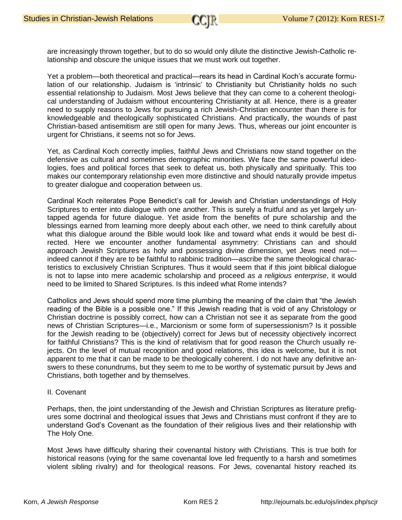are increasingly thrown together, but to do so would only dilute the distinctive Jewish-Catholic relationship and obscure the unique issues that we must work out together.

Yet a problem—both theoretical and practical—rears its head in Cardinal Koch's accurate formulation of our relationship. Judaism is 'intrinsic' to Christianity but Christianity holds no such essential relationship to Judaism. Most Jews believe that they can come to a coherent theological understanding of Judaism without encountering Christianity at all. Hence, there is a greater need to supply reasons to Jews for pursuing a rich Jewish-Christian encounter than there is for knowledgeable and theologically sophisticated Christians. And practically, the wounds of past Christian-based antisemitism are still open for many Jews. Thus, whereas our joint encounter is urgent for Christians, it seems not so for Jews.

Yet, as Cardinal Koch correctly implies, faithful Jews and Christians now stand together on the defensive as cultural and sometimes demographic minorities. We face the same powerful ideologies, foes and political forces that seek to defeat us, both physically and spiritually. This too makes our contemporary relationship even more distinctive and should naturally provide impetus to greater dialogue and cooperation between us.

Cardinal Koch reiterates Pope Benedict's call for Jewish and Christian understandings of Holy Scriptures to enter into dialogue with one another. This is surely a fruitful and as yet largely untapped agenda for future dialogue. Yet aside from the benefits of pure scholarship and the blessings earned from learning more deeply about each other, we need to think carefully about what this dialogue around the Bible would look like and toward what ends it would be best directed. Here we encounter another fundamental asymmetry: Christians can and should approach Jewish Scriptures as holy and possessing divine dimension, yet Jews need not indeed cannot if they are to be faithful to rabbinic tradition—ascribe the same theological characteristics to exclusively Christian Scriptures. Thus it would seem that if this joint biblical dialogue is not to lapse into mere academic scholarship and proceed *as a religious enterprise*, it would need to be limited to Shared Scriptures. Is this indeed what Rome intends?

Catholics and Jews should spend more time plumbing the meaning of the claim that "the Jewish reading of the Bible is a possible one." If this Jewish reading that is void of any Christology or Christian doctrine is possibly correct, how can a Christian not see it as separate from the good news of Christian Scriptures—i.e., Marcionism or some form of supersessionism? Is it possible for the Jewish reading to be (objectively) correct for Jews but of necessity objectively incorrect for faithful Christians? This is the kind of relativism that for good reason the Church usually rejects. On the level of mutual recognition and good relations, this idea is welcome, but it is not apparent to me that it can be made to be theologically coherent. I do not have any definitive answers to these conundrums, but they seem to me to be worthy of systematic pursuit by Jews and Christians, both together and by themselves.

## II. Covenant

Perhaps, then, the joint understanding of the Jewish and Christian Scriptures as literature prefigures some doctrinal and theological issues that Jews and Christians must confront if they are to understand God's Covenant as the foundation of their religious lives and their relationship with The Holy One.

Most Jews have difficulty sharing their covenantal history with Christians. This is true both for historical reasons (vying for the same covenantal love led frequently to a harsh and sometimes violent sibling rivalry) and for theological reasons. For Jews, covenantal history reached its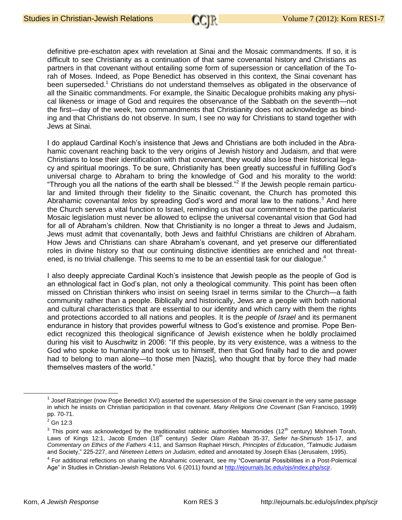definitive pre-eschaton apex with revelation at Sinai and the Mosaic commandments. If so, it is difficult to see Christianity as a continuation of that same covenantal history and Christians as partners in that covenant without entailing some form of supersession or cancellation of the Torah of Moses. Indeed, as Pope Benedict has observed in this context, the Sinai covenant has been superseded.<sup>1</sup> Christians do not understand themselves as obligated in the observance of all the Sinaitic commandments. For example, the Sinaitic Decalogue prohibits making any physical likeness or image of God and requires the observance of the Sabbath on the seventh—not the first—day of the week, two commandments that Christianity does not acknowledge as binding and that Christians do not observe. In sum, I see no way for Christians to stand together with Jews at Sinai.

I do applaud Cardinal Koch's insistence that Jews and Christians are both included in the Abrahamic covenant reaching back to the very origins of Jewish history and Judaism, and that were Christians to lose their identification with that covenant, they would also lose their historical legacy and spiritual moorings. To be sure, Christianity has been greatly successful in fulfilling God's universal charge to Abraham to bring the knowledge of God and his morality to the world: "Through you all the nations of the earth shall be blessed."<sup>2</sup> If the Jewish people remain particular and limited through their fidelity to the Sinaitic covenant, the Church has promoted this Abrahamic covenantal *telos* by spreading God's word and moral law to the nations.<sup>3</sup> And here the Church serves a vital function to Israel, reminding us that our commitment to the particularist Mosaic legislation must never be allowed to eclipse the universal covenantal vision that God had for all of Abraham's children. Now that Christianity is no longer a threat to Jews and Judaism, Jews must admit that covenantally, both Jews and faithful Christians are children of Abraham. How Jews and Christians can share Abraham's covenant, and yet preserve our differentiated roles in divine history so that our continuing distinctive identities are enriched and not threatened, is no trivial challenge. This seems to me to be an essential task for our dialogue.<sup>4</sup>

I also deeply appreciate Cardinal Koch's insistence that Jewish people as the people of God is an ethnological fact in God's plan, not only a theological community. This point has been often missed on Christian thinkers who insist on seeing Israel in terms similar to the Church—a faith community rather than a people. Biblically and historically, Jews are a people with both national and cultural characteristics that are essential to our identity and which carry with them the rights and protections accorded to all nations and peoples. It is the *people of Israel* and its permanent endurance in history that provides powerful witness to God's existence and promise. Pope Benedict recognized this theological significance of Jewish existence when he boldly proclaimed during his visit to Auschwitz in 2006: "If this people, by its very existence, was a witness to the God who spoke to humanity and took us to himself, then that God finally had to die and power had to belong to man alone—to those men [Nazis], who thought that by force they had made themselves masters of the world."

 $1$  Josef Ratzinger (now Pope Benedict XVI) asserted the supersession of the Sinai covenant in the very same passage in which he insists on Christian participation in that covenant. *Many Religions One Covenant* (San Francisco, 1999) pp. 70-71.

 $2$  Gn 12:3

<sup>&</sup>lt;sup>3</sup> This point was acknowledged by the traditionalist rabbinic authorities Maimonides (12<sup>th</sup> century) Mishneh Torah, Laws of Kings 12:1, Jacob Emden (18th century) *Seder Olam Rabbah* 35-37, *Sefer ha-Shimush* 15-17, and *Commentary on Ethics of the Fathers* 4:11, and Samson Raphael Hirsch, *Principles of Education*, "Talmudic Judaism and Society," 225-227, and *Nineteen Letters on Judaism*, edited and annotated by Joseph Elias (Jerusalem, 1995).

<sup>&</sup>lt;sup>4</sup> For additional reflections on sharing the Abrahamic covenant, see my "Covenantal Possibilities in a Post-Polemical Age" in Studies in Christian-Jewish Relations Vol. 6 (2011) found a[t http://ejournals.bc.edu/ojs/index.php/scjr.](http://ejournals.bc.edu/ojs/index.php/scjr)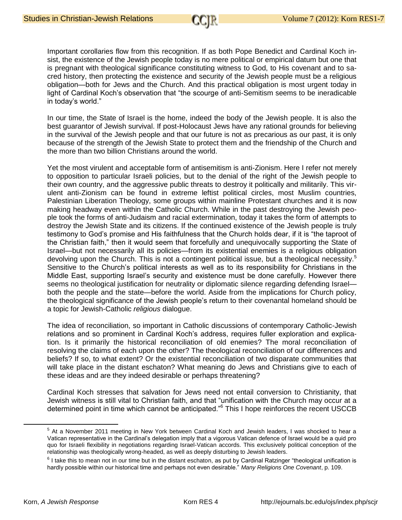Important corollaries flow from this recognition. If as both Pope Benedict and Cardinal Koch insist, the existence of the Jewish people today is no mere political or empirical datum but one that is pregnant with theological significance constituting witness to God, to His covenant and to sacred history, then protecting the existence and security of the Jewish people must be a religious obligation—both for Jews and the Church. And this practical obligation is most urgent today in light of Cardinal Koch's observation that "the scourge of anti-Semitism seems to be ineradicable in today's world."

In our time, the State of Israel is the home, indeed the body of the Jewish people. It is also the best guarantor of Jewish survival. If post-Holocaust Jews have any rational grounds for believing in the survival of the Jewish people and that our future is not as precarious as our past, it is only because of the strength of the Jewish State to protect them and the friendship of the Church and the more than two billion Christians around the world.

Yet the most virulent and acceptable form of antisemitism is anti-Zionism. Here I refer not merely to opposition to particular Israeli policies, but to the denial of the right of the Jewish people to their own country, and the aggressive public threats to destroy it politically and militarily. This virulent anti-Zionism can be found in extreme leftist political circles, most Muslim countries, Palestinian Liberation Theology, some groups within mainline Protestant churches and it is now making headway even within the Catholic Church. While in the past destroying the Jewish people took the forms of anti-Judaism and racial extermination, today it takes the form of attempts to destroy the Jewish State and its citizens. If the continued existence of the Jewish people is truly testimony to God's promise and His faithfulness that the Church holds dear, if it is "the taproot of the Christian faith," then it would seem that forcefully and unequivocally supporting the State of Israel—but not necessarily all its policies—from its existential enemies is a religious obligation devolving upon the Church. This is not a contingent political issue, but a theological necessity.<sup>5</sup> Sensitive to the Church's political interests as well as to its responsibility for Christians in the Middle East, supporting Israel's security and existence must be done carefully. However there seems no theological justification for neutrality or diplomatic silence regarding defending Israel both the people and the state—before the world. Aside from the implications for Church policy, the theological significance of the Jewish people's return to their covenantal homeland should be a topic for Jewish-Catholic *religious* dialogue.

The idea of reconciliation, so important in Catholic discussions of contemporary Catholic-Jewish relations and so prominent in Cardinal Koch's address, requires fuller exploration and explication. Is it primarily the historical reconciliation of old enemies? The moral reconciliation of resolving the claims of each upon the other? The theological reconciliation of our differences and beliefs? If so, to what extent? Or the existential reconciliation of two disparate communities that will take place in the distant eschaton? What meaning do Jews and Christians give to each of these ideas and are they indeed desirable or perhaps threatening?

Cardinal Koch stresses that salvation for Jews need not entail conversion to Christianity, that Jewish witness is still vital to Christian faith, and that "unification with the Church may occur at a determined point in time which cannot be anticipated."<sup>6</sup> This I hope reinforces the recent USCCB

<sup>&</sup>lt;sup>5</sup> At a November 2011 meeting in New York between Cardinal Koch and Jewish leaders, I was shocked to hear a Vatican representative in the Cardinal's delegation imply that a vigorous Vatican defence of Israel would be a quid pro quo for Israeli flexibility in negotiations regarding Israel-Vatican accords. This exclusively political conception of the relationship was theologically wrong-headed, as well as deeply disturbing to Jewish leaders.

 $^6$  I take this to mean not in our time but in the distant eschaton, as put by Cardinal Ratzinger "theological unification is hardly possible within our historical time and perhaps not even desirable." *Many Religions One Covenant*, p. 109.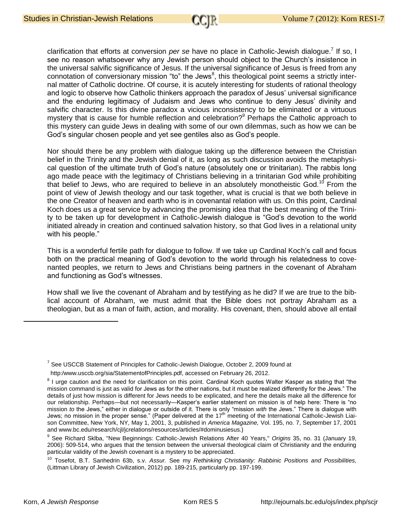clarification that efforts at conversion *per se* have no place in Catholic-Jewish dialogue.<sup>7</sup> If so, I see no reason whatsoever why any Jewish person should object to the Church's insistence in the universal salvific significance of Jesus. If the universal significance of Jesus is freed from any connotation of conversionary mission "to" the Jews<sup>8</sup>, this theological point seems a strictly internal matter of Catholic doctrine. Of course, it is acutely interesting for students of rational theology and logic to observe how Catholic thinkers approach the paradox of Jesus' universal significance and the enduring legitimacy of Judaism and Jews who continue to deny Jesus' divinity and salvific character. Is this divine paradox a vicious inconsistency to be eliminated or a virtuous mystery that is cause for humble reflection and celebration?<sup>9</sup> Perhaps the Catholic approach to this mystery can guide Jews in dealing with some of our own dilemmas, such as how we can be God's singular chosen people and yet see gentiles also as God's people.

Nor should there be any problem with dialogue taking up the difference between the Christian belief in the Trinity and the Jewish denial of it, as long as such discussion avoids the metaphysical question of the ultimate truth of God's nature (absolutely one or trinitarian). The rabbis long ago made peace with the legitimacy of Christians believing in a trinitarian God while prohibiting that belief to Jews, who are required to believe in an absolutely monotheistic God.<sup>10</sup> From the point of view of Jewish theology and our task together, what is crucial is that we both believe in the one Creator of heaven and earth who is in covenantal relation with us. On this point, Cardinal Koch does us a great service by advancing the promising idea that the best meaning of the Trinity to be taken up for development in Catholic-Jewish dialogue is "God's devotion to the world initiated already in creation and continued salvation history, so that God lives in a relational unity with his people."

This is a wonderful fertile path for dialogue to follow. If we take up Cardinal Koch's call and focus both on the practical meaning of God's devotion to the world through his relatedness to covenanted peoples, we return to Jews and Christians being partners in the covenant of Abraham and functioning as God's witnesses.

How shall we live the covenant of Abraham and by testifying as he did? If we are true to the biblical account of Abraham, we must admit that the Bible does not portray Abraham as a theologian, but as a man of faith, action, and morality. His covenant, then, should above all entail

 $<sup>7</sup>$  See USCCB Statement of Principles for Catholic-Jewish Dialogue, October 2, 2009 found at</sup>

http:/www.usccb.org/sia/StatementofPrinciples.pdf, accessed on February 26, 2012.

<sup>&</sup>lt;sup>8</sup> I urge caution and the need for clarification on this point. Cardinal Koch quotes Walter Kasper as stating that "the mission command is just as valid for Jews as for the other nations, but it must be realized differently for the Jews." The details of just how mission is different for Jews needs to be explicated, and here the details make all the difference for our relationship. Perhaps—but not necessarily—Kasper's earlier statement on mission is of help here: There is "no mission *to* the Jews," either in dialogue or outside of it. There is only "mission *with* the Jews." There is dialogue with Jews; no mission in the proper sense." (Paper delivered at the 17<sup>th</sup> meeting of the International Catholic-Jewish Liaison Committee, New York, NY, May 1, 2001, 3, published in *America Magazine,* Vol. 195, no. 7, September 17, 2001 and www.bc.edu/research/cjl/jcrelations/resources/articles/#dominusiesus.)

<sup>9</sup> See Richard Sklba, "New Beginnings: Catholic-Jewish Relations After 40 Years," *Origins* 35, no. 31 (January 19, 2006): 509-514, who argues that the tension between the universal theological claim of Christianity and the enduring particular validity of the Jewish covenant is a mystery to be appreciated.

<sup>10</sup> Tosefot, B.T. Sanhedrin 63b, s.v. *Assur.* See my *Rethinking Christianity: Rabbinic Positions and Possibilities,*  (Littman Library of Jewish Civilization, 2012) pp. 189-215, particularly pp. 197-199.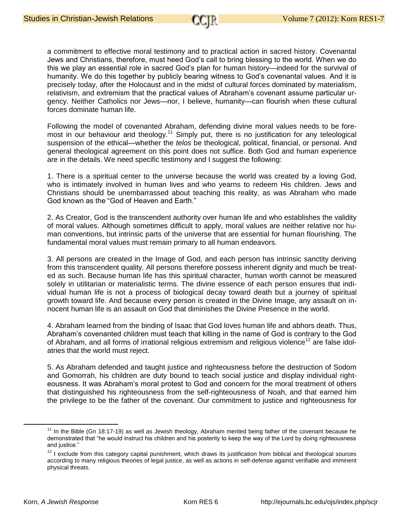a commitment to effective moral testimony and to practical action in sacred history. Covenantal Jews and Christians, therefore, must heed God's call to bring blessing to the world. When we do this we play an essential role in sacred God's plan for human history—indeed for the survival of humanity. We do this together by publicly bearing witness to God's covenantal values. And it is precisely today, after the Holocaust and in the midst of cultural forces dominated by materialism, relativism, and extremism that the practical values of Abraham's covenant assume particular urgency. Neither Catholics nor Jews—nor, I believe, humanity—can flourish when these cultural forces dominate human life.

Following the model of covenanted Abraham, defending divine moral values needs to be foremost in our behaviour and theology.<sup>11</sup> Simply put, there is no justification for any teleological suspension of the ethical—whether the *telos* be theological, political, financial, or personal. And general theological agreement on this point does not suffice. Both God and human experience are in the details. We need specific testimony and I suggest the following:

1. There is a spiritual center to the universe because the world was created by a loving God, who is intimately involved in human lives and who yearns to redeem His children. Jews and Christians should be unembarrassed about teaching this reality, as was Abraham who made God known as the "God of Heaven and Earth."

2. As Creator, God is the transcendent authority over human life and who establishes the validity of moral values. Although sometimes difficult to apply, moral values are neither relative nor human conventions, but intrinsic parts of the universe that are essential for human flourishing. The fundamental moral values must remain primary to all human endeavors.

3. All persons are created in the Image of God, and each person has intrinsic sanctity deriving from this transcendent quality. All persons therefore possess inherent dignity and much be treated as such. Because human life has this spiritual character, human worth cannot be measured solely in utilitarian or materialistic terms. The divine essence of each person ensures that individual human life is not a process of biological decay toward death but a journey of spiritual growth toward life. And because every person is created in the Divine Image, any assault on innocent human life is an assault on God that diminishes the Divine Presence in the world.

4. Abraham learned from the binding of Isaac that God loves human life and abhors death. Thus, Abraham's covenanted children must teach that killing in the name of God is contrary to the God of Abraham, and all forms of irrational religious extremism and religious violence<sup>12</sup> are false idolatries that the world must reject.

5. As Abraham defended and taught justice and righteousness before the destruction of Sodom and Gomorrah, his children are duty bound to teach social justice and display individual righteousness. It was Abraham's moral protest to God and concern for the moral treatment of others that distinguished his righteousness from the self-righteousness of Noah, and that earned him the privilege to be the father of the covenant. Our commitment to justice and righteousness for

<sup>&</sup>lt;sup>11</sup> In the Bible (Gn 18:17-19) as well as Jewish theology, Abraham merited being father of the covenant because he demonstrated that "he would instruct his children and his posterity to keep the way of the Lord by doing righteousness and justice."

 $12$  I exclude from this category capital punishment, which draws its justification from biblical and theological sources according to many religious theories of legal justice, as well as actions in self-defense against verifiable and imminent physical threats.